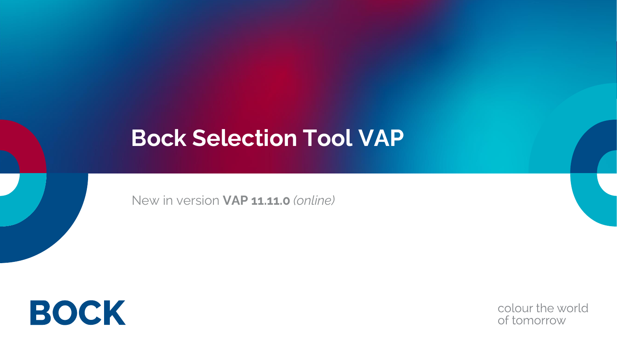# **Bock Selection Tool VAP**

New in version **VAP 11.11.0** *(online)*



colour the world of tomorrow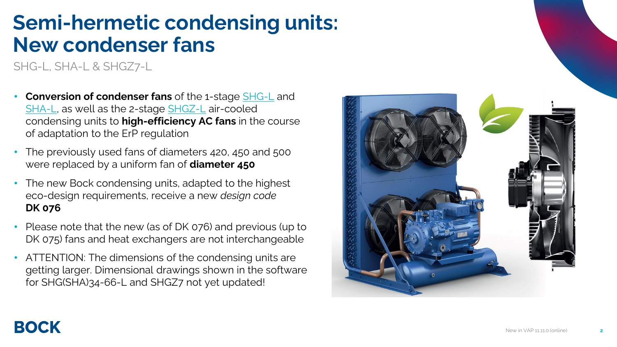### **Semi-hermetic condensing units: New condenser fans**

SHG-L, SHA-L & SHGZ7-L

- **Conversion of condenser fans** of the 1-stage [SHG-L](https://vap.bock.de/stationaryapplication/Pages/ProductGroup.aspx?ItemObjectID=SHGL) and [SHA-L](https://vap.bock.de/stationaryapplication/Pages/ProductGroup.aspx?ItemObjectID=SHAL), as well as the 2-stage [SHGZ-L](https://vap.bock.de/stationaryapplication/Pages/ProductGroup.aspx?ItemObjectID=SHGZ) air-cooled condensing units to **high-efficiency AC fans** in the course of adaptation to the ErP regulation
- The previously used fans of diameters 420, 450 and 500 were replaced by a uniform fan of **diameter 450**
- The new Bock condensing units, adapted to the highest eco-design requirements, receive a new *design code*  **DK 076**
- Please note that the new (as of DK 076) and previous (up to DK 075) fans and heat exchangers are not interchangeable
- ATTENTION: The dimensions of the condensing units are getting larger. Dimensional drawings shown in the software for SHG(SHA)34-66-L and SHGZ7 not yet updated!

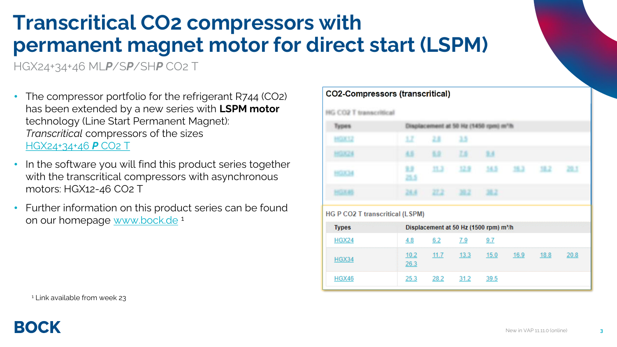# **Transcritical CO2 compressors with permanent magnet motor for direct start (LSPM)**

HGX24+34+46 ML*P*/S*P*/SH*P* CO2 T

- The compressor portfolio for the refrigerant R744 (CO2) has been extended by a new series with **LSPM motor**  technology (Line Start Permanent Magnet): *Transcritical* compressors of the sizes [HGX24+34+46](https://vap.bock.de/stationaryapplication/Pages/ProductGroup.aspx?ItemObjectID=HGCO2T) *P* CO2 T
- In the software you will find this product series together with the transcritical compressors with asynchronous motors: HGX12-46 CO2 T
- Further information on this product series can be found on our homepage [www.bock.de](https://bock.de/en/news/transcritical-bock-co2-compressors-lspm-motors)<sup>1</sup>

| Types                                           |              | Displacement at 50 Hz (1450 rpm) m'/h |      |                                                    |      |      |      |
|-------------------------------------------------|--------------|---------------------------------------|------|----------------------------------------------------|------|------|------|
| <b>HGX12</b>                                    | 12           | 2.8                                   | 3.5  |                                                    |      |      |      |
| <b>HGX24</b>                                    | 4.5          | 5.2                                   | ZS:  | 2.3                                                |      |      |      |
| <b>HGX34</b>                                    | 12<br>25.5   | 11.3                                  | 12.2 | 34.5                                               | 35.2 | 32.2 | 28.1 |
| <b>HOXAS</b>                                    | 28.8         | 27.2 39.2                             |      | 12.2                                               |      |      |      |
|                                                 |              |                                       |      |                                                    |      |      |      |
|                                                 |              |                                       |      |                                                    |      |      |      |
| <b>Types</b>                                    |              |                                       |      | Displacement at 50 Hz (1500 rpm) m <sup>3</sup> /h |      |      |      |
| <b>HGX24</b>                                    | 4.8          | 6.2                                   | 7.9  | 9.7                                                |      |      |      |
| HG P CO2 T transcritical (LSPM)<br><b>HGX34</b> | 10.2<br>26.3 | 11.7                                  | 13.3 | 15.0                                               | 16.9 | 18.8 | 20.8 |

**CO2-Compressors (transcritical)** 

<sup>1</sup> Link available from week 23

BOCK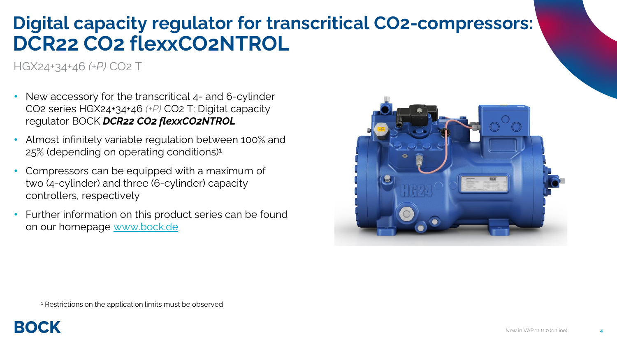#### **Digital capacity regulator for transcritical CO2-compressors: DCR22 CO2 flexxCO2NTROL**

HGX24+34+46 *(+P)* CO2 T

- New accessory for the transcritical 4- and 6-cylinder CO2 series HGX24+34+46 *(+P)* CO2 T: Digital capacity regulator BOCK *DCR22 CO2 flexxCO2NTROL*
- Almost infinitely variable regulation between 100% and 25% (depending on operating conditions)<sup>1</sup>
- Compressors can be equipped with a maximum of two (4-cylinder) and three (6-cylinder) capacity controllers, respectively
- Further information on this product series can be found on our homepage [www.bock.de](https://bock.de/en/news/transcritical-bock-co2-compressors-lspm-motors)



<sup>1</sup> Restrictions on the application limits must be observed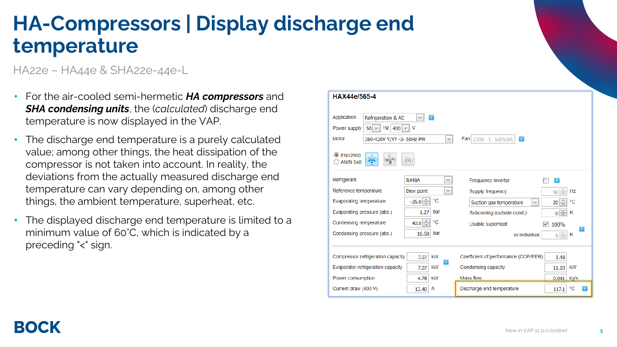## **HA-Compressors | Display discharge end temperature**

HA22e – HA44e & SHA22e-44e-L

- For the air-cooled semi-hermetic *HA compressors* and *SHA condensing units*, the (*calculated*) discharge end temperature is now displayed in the VAP.
- The discharge end temperature is a purely calculated value; among other things, the heat dissipation of the compressor is not taken into account. In reality, the deviations from the actually measured discharge end temperature can vary depending on, among other things, the ambient temperature, superheat, etc.
- The displayed discharge end temperature is limited to a minimum value of 60°C, which is indicated by a preceding "<" sign.

| HAX44e/565-4                                                                                                                                                                                                                        |                       |    |                                                               |  |  |  |  |
|-------------------------------------------------------------------------------------------------------------------------------------------------------------------------------------------------------------------------------------|-----------------------|----|---------------------------------------------------------------|--|--|--|--|
| Application<br>Refrigeration & AC<br>T.<br>$\checkmark$<br>Hz $400 \times$<br>Power supply<br>- V<br>$50 \vee$<br>Motor<br>Fan 230V -1-50/60Hz<br>380-420V Y/YY -3- 50Hz PW<br>$\mathbf{r}$<br>$\lor$<br>FN12900<br><b>ANSI 540</b> |                       |    |                                                               |  |  |  |  |
| Refrigerant                                                                                                                                                                                                                         | <b>R448A</b>          | v  | F.<br>Frequency inverter                                      |  |  |  |  |
| Reference temperature                                                                                                                                                                                                               | Dew point             | v  | Hz<br>Supply frequency<br>50                                  |  |  |  |  |
| <b>Evaporating temperature</b>                                                                                                                                                                                                      | °C<br>$-35.0$         |    | $20 \frac{1}{\sqrt{2}}$<br>°C<br>Suction gas temperature<br>v |  |  |  |  |
| Evaporating pressure (abs.)                                                                                                                                                                                                         | 1.27<br>bar           |    | Subcooling (outside cond.)<br>0<br>Κ                          |  |  |  |  |
| Condensing temperature                                                                                                                                                                                                              | 40.0<br>°C            |    | Usable superheat<br>100%<br>$\vee$                            |  |  |  |  |
| Condensing pressure (abs.)                                                                                                                                                                                                          | 16.58<br>bar          |    | Ã.<br>or individual<br>$5\Diamond$<br>Κ                       |  |  |  |  |
| Compressor refrigeration capacity                                                                                                                                                                                                   | <b>kW</b><br>7.07     |    | Coefficient of performance (COP/EER)<br>1.48                  |  |  |  |  |
| Evaporator refrigeration capacity                                                                                                                                                                                                   | <b>KW</b><br>7.07     | Ã. | kW<br>Condensing capacity<br>11.20                            |  |  |  |  |
| Power consumption                                                                                                                                                                                                                   | <b>kW</b><br>4.78     |    | Mass flow<br>0.041<br>kg/s                                    |  |  |  |  |
| Current draw (400 V)                                                                                                                                                                                                                | 13.40<br>$\mathsf{A}$ |    | °C<br>Discharge end temperature<br>117.1                      |  |  |  |  |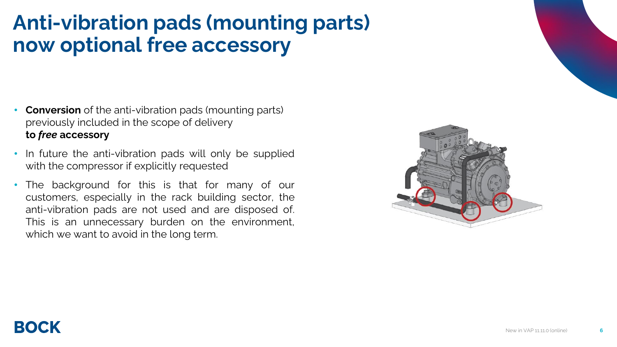## **Anti-vibration pads (mounting parts) now optional free accessory**

- **Conversion** of the anti-vibration pads (mounting parts) previously included in the scope of delivery **to** *free* **accessory**
- In future the anti-vibration pads will only be supplied with the compressor if explicitly requested
- The background for this is that for many of our customers, especially in the rack building sector, the anti-vibration pads are not used and are disposed of. This is an unnecessary burden on the environment, which we want to avoid in the long term.